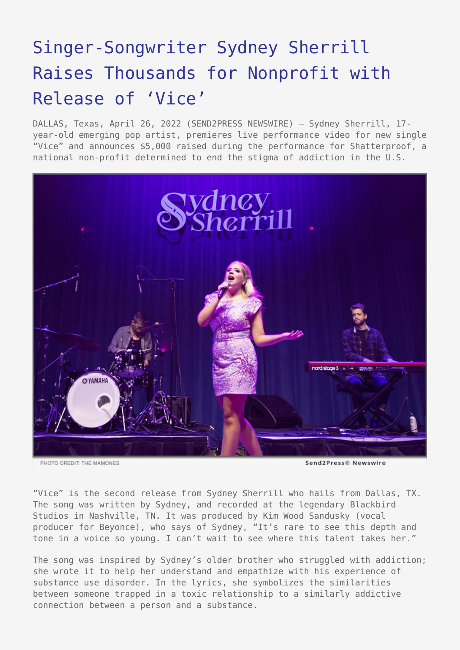## [Singer-Songwriter Sydney Sherrill](https://www.send2press.com/wire/singer-songwriter-sydney-sherrill-raises-thousands-for-nonprofit-with-release-of-vice/) [Raises Thousands for Nonprofit with](https://www.send2press.com/wire/singer-songwriter-sydney-sherrill-raises-thousands-for-nonprofit-with-release-of-vice/) [Release of 'Vice'](https://www.send2press.com/wire/singer-songwriter-sydney-sherrill-raises-thousands-for-nonprofit-with-release-of-vice/)

DALLAS, Texas, April 26, 2022 (SEND2PRESS NEWSWIRE) — Sydney Sherrill, 17 year-old emerging pop artist, premieres live performance video for new single "Vice" and announces \$5,000 raised during the performance for Shatterproof, a national non-profit determined to end the stigma of addiction in the U.S.



PHOTO CREDIT: THE MAMONES

"Vice" is the second release from Sydney Sherrill who hails from Dallas, TX. The song was written by Sydney, and recorded at the legendary Blackbird Studios in Nashville, TN. It was produced by Kim Wood Sandusky (vocal producer for Beyonce), who says of Sydney, "It's rare to see this depth and tone in a voice so young. I can't wait to see where this talent takes her."

The song was inspired by Sydney's older brother who struggled with addiction; she wrote it to help her understand and empathize with his experience of substance use disorder. In the lyrics, she symbolizes the similarities between someone trapped in a toxic relationship to a similarly addictive connection between a person and a substance.

Send2Press® Newswire